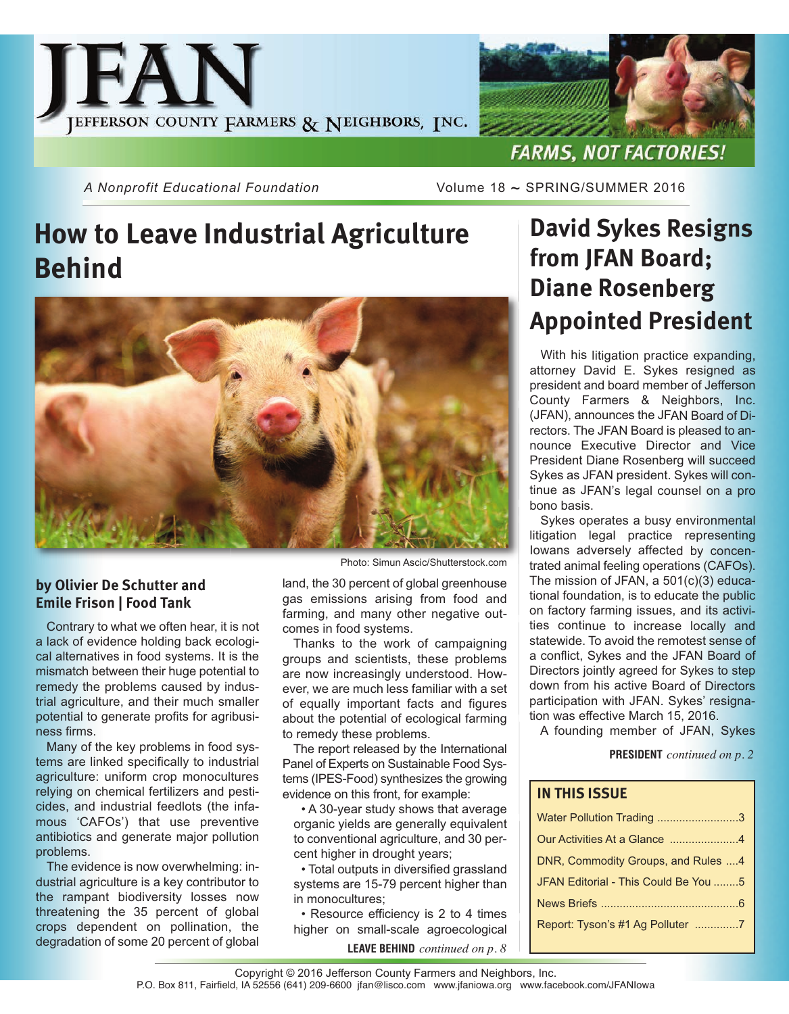

*A Nonprofit Educational Foundation* Volume 18 ~ SPRING/SUMMER 2016

# **How to Leave Industrial Agriculture Behind**



#### **by Olivier De Schutter and Emile Frison | Food Tank**

Contrary to what we often hear, it is not a lack of evidence holding back ecological alternatives in food systems. It is the mismatch between their huge potential to remedy the problems caused by industrial agriculture, and their much smaller potential to generate profits for agribusiness firms.

Many of the key problems in food systems are linked specifically to industrial agriculture: uniform crop monocultures relying on chemical fertilizers and pesticides, and industrial feedlots (the infamous 'CAFOs') that use preventive antibiotics and generate major pollution problems.

The evidence is now overwhelming: industrial agriculture is a key contributor to the rampant biodiversity losses now threatening the 35 percent of global crops dependent on pollination, the degradation of some 20 percent of global

Photo: Simun Ascic/Shutterstock.com

land, the 30 percent of global greenhouse gas emissions arising from food and farming, and many other negative outcomes in food systems.

Thanks to the work of campaigning groups and scientists, these problems are now increasingly understood. However, we are much less familiar with a set of equally important facts and figures about the potential of ecological farming to remedy these problems.

The report released by the International Panel of Experts on Sustainable Food Systems (IPES-Food) synthesizes the growing evidence on this front, for example:

• A 30-year study shows that average organic yields are generally equivalent to conventional agriculture, and 30 percent higher in drought years;

• Total outputs in diversified grassland systems are 15-79 percent higher than in monocultures;

• Resource efficiency is 2 to 4 times higher on small-scale agroecological

**LEAVE BEHIND** *continued on p. 8*

## **David Sykes Resigns from JFAN Board; Diane Rosenberg Appointed President**

With his litigation practice expanding, attorney David E. Sykes resigned as president and board member of Jefferson County Farmers & Neighbors, Inc. (JFAN), announces the JFAN Board of Directors. The JFAN Board is pleased to announce Executive Director and Vice President Diane Rosenberg will succeed Sykes as JFAN president. Sykes will continue as JFAN's legal counsel on a pro bono basis.

Sykes operates a busy environmental litigation legal practice representing Iowans adversely affected by concentrated animal feeling operations (CAFOs). The mission of JFAN, a 501(c)(3) educational foundation, is to educate the public on factory farming issues, and its activities continue to increase locally and statewide. To avoid the remotest sense of a conflict, Sykes and the JFAN Board of Directors jointly agreed for Sykes to step down from his active Board of Directors participation with JFAN. Sykes' resignation was effective March 15, 2016.

A founding member of JFAN, Sykes

**PRESIDENT** *continued on p. 2*

#### **IN THIS ISSUE**

| Water Pollution Trading 3            |
|--------------------------------------|
| Our Activities At a Glance 4         |
| DNR, Commodity Groups, and Rules 4   |
| JFAN Editorial - This Could Be You 5 |
|                                      |
| Report: Tyson's #1 Ag Polluter 7     |
|                                      |

Copyright © 2016 Jefferson County Farmers and Neighbors, Inc. P.O. Box 811, Fairfield, IA 52556 (641) 209-6600 jfan@lisco.com www.jfaniowa.org www.facebook.com/JFANIowa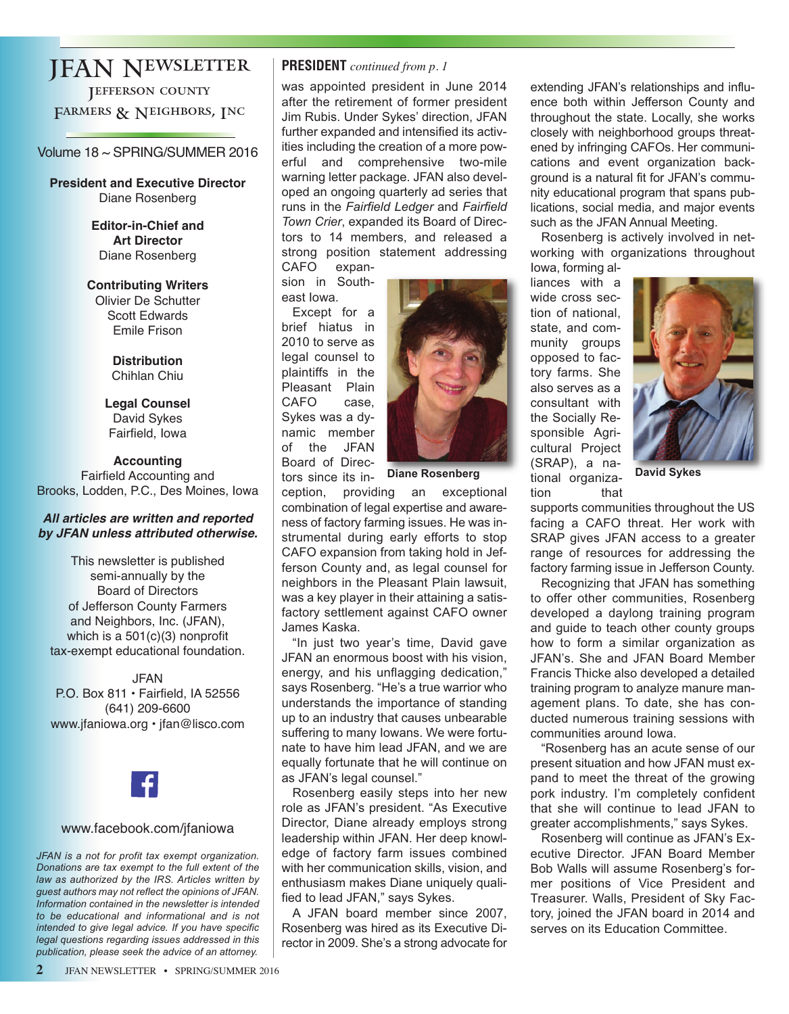### JFAN Newsletter

Jefferson county FARMERS & NEIGHBORS, INC

#### Volume 18 ~ SPRING/SUMMER 2016

**President and Executive Director** Diane Rosenberg

> **Editor-in-Chief and Art Director** Diane Rosenberg

**Contributing Writers**

Olivier De Schutter Scott Edwards Emile Frison

> **Distribution** Chihlan Chiu

**Legal Counsel** David Sykes Fairfield, Iowa

**Accounting** Fairfield Accounting and Brooks, Lodden, P.C., Des Moines, Iowa

#### *All articles are written and reported by JFAN unless attributed otherwise.*

This newsletter is published semi-annually by the Board of Directors of Jefferson County Farmers and Neighbors, Inc. (JFAN), which is a 501(c)(3) nonprofit tax-exempt educational foundation.

JFAN P.O. Box 811 • Fairfield, IA 52556 (641) 209-6600 www.jfaniowa.org • jfan@lisco.com



#### www.facebook.com/jfaniowa

*JFAN is a not for profit tax exempt organization. Donations are tax exempt to the full extent of the law as authorized by the IRS. Articles written by guest authors may not reflect the opinions of JFAN. Information contained in the newsletter is intended to be educational and informational and is not intended to give legal advice. If you have specific legal questions regarding issues addressed in this publication, please seek the advice of an attorney.*

#### **PRESIDENT** *continued from p. 1*

was appointed president in June 2014 after the retirement of former president Jim Rubis. Under Sykes' direction, JFAN further expanded and intensified its activities including the creation of a more powerful and comprehensive two-mile warning letter package. JFAN also developed an ongoing quarterly ad series that runs in the *Fairfield Ledger* and *Fairfield Town Crier*, expanded its Board of Directors to 14 members, and released a strong position statement addressing CAFO expan-

sion in Southeast Iowa.

Except for a brief hiatus in 2010 to serve as legal counsel to plaintiffs in the Pleasant Plain CAFO case, Sykes was a dynamic member of the JFAN Board of Directors since its in-



**Diane Rosenberg by the light of the David Sykes** 

ception, providing an exceptional combination of legal expertise and awareness of factory farming issues. He was instrumental during early efforts to stop CAFO expansion from taking hold in Jefferson County and, as legal counsel for neighbors in the Pleasant Plain lawsuit, was a key player in their attaining a satisfactory settlement against CAFO owner James Kaska.

"In just two year's time, David gave JFAN an enormous boost with his vision, energy, and his unflagging dedication," says Rosenberg. "He's a true warrior who understands the importance of standing up to an industry that causes unbearable suffering to many Iowans. We were fortunate to have him lead JFAN, and we are equally fortunate that he will continue on as JFAN's legal counsel."

Rosenberg easily steps into her new role as JFAN's president. "As Executive Director, Diane already employs strong leadership within JFAN. Her deep knowledge of factory farm issues combined with her communication skills, vision, and enthusiasm makes Diane uniquely qualified to lead JFAN," says Sykes.

A JFAN board member since 2007, Rosenberg was hired as its Executive Director in 2009. She's a strong advocate for extending JFAN's relationships and influence both within Jefferson County and throughout the state. Locally, she works closely with neighborhood groups threatened by infringing CAFOs. Her communications and event organization background is a natural fit for JFAN's community educational program that spans publications, social media, and major events such as the JFAN Annual Meeting.

Rosenberg is actively involved in networking with organizations throughout Iowa, forming al-

liances with a wide cross section of national, state, and community groups opposed to factory farms. She also serves as a consultant with the Socially Responsible Agricultural Project (SRAP), a national organization that



supports communities throughout the US facing a CAFO threat. Her work with SRAP gives JFAN access to a greater range of resources for addressing the factory farming issue in Jefferson County.

Recognizing that JFAN has something to offer other communities, Rosenberg developed a daylong training program and guide to teach other county groups how to form a similar organization as JFAN's. She and JFAN Board Member Francis Thicke also developed a detailed training program to analyze manure management plans. To date, she has conducted numerous training sessions with communities around Iowa.

"Rosenberg has an acute sense of our present situation and how JFAN must expand to meet the threat of the growing pork industry. I'm completely confident that she will continue to lead JFAN to greater accomplishments," says Sykes.

Rosenberg will continue as JFAN's Executive Director. JFAN Board Member Bob Walls will assume Rosenberg's former positions of Vice President and Treasurer. Walls, President of Sky Factory, joined the JFAN board in 2014 and serves on its Education Committee.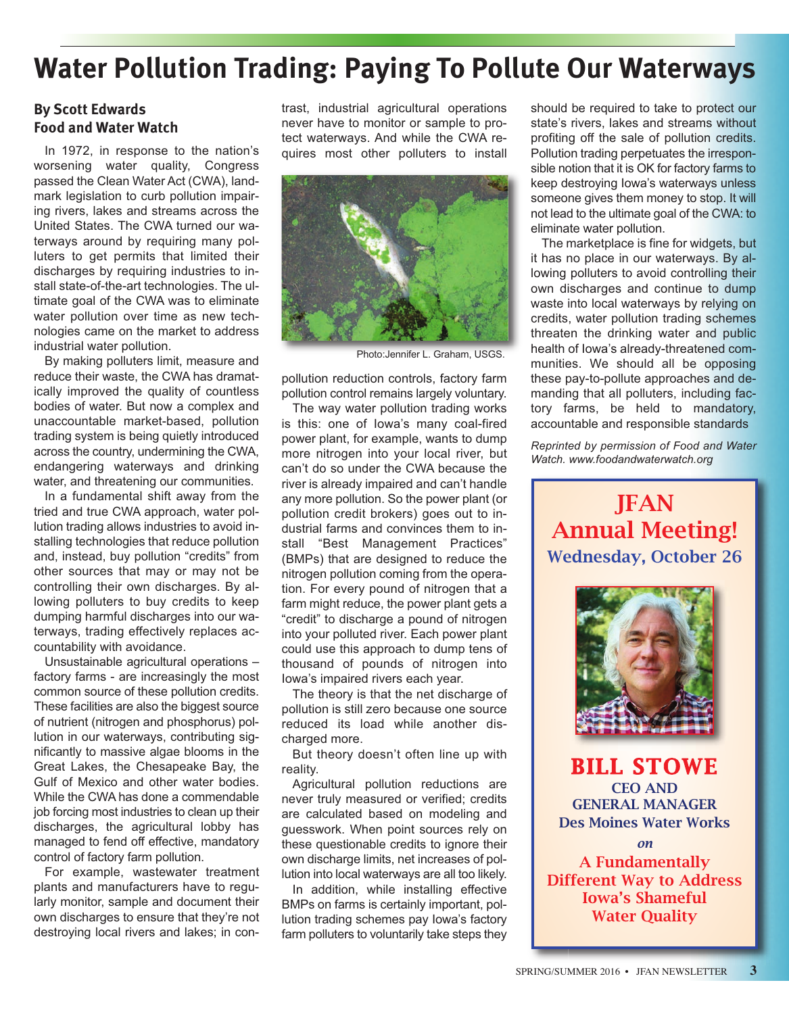## **Water Pollution Trading: Paying To Pollute Our Waterways**

#### **By Scott Edwards Food and Water Watch**

In 1972, in response to the nation's worsening water quality, Congress passed the Clean Water Act (CWA), landmark legislation to curb pollution impairing rivers, lakes and streams across the United States. The CWA turned our waterways around by requiring many polluters to get permits that limited their discharges by requiring industries to install state-of-the-art technologies. The ultimate goal of the CWA was to eliminate water pollution over time as new technologies came on the market to address industrial water pollution.

By making polluters limit, measure and reduce their waste, the CWA has dramatically improved the quality of countless bodies of water. But now a complex and unaccountable market-based, pollution trading system is being quietly introduced across the country, undermining the CWA, endangering waterways and drinking water, and threatening our communities.

In a fundamental shift away from the tried and true CWA approach, water pollution trading allows industries to avoid installing technologies that reduce pollution and, instead, buy pollution "credits" from other sources that may or may not be controlling their own discharges. By allowing polluters to buy credits to keep dumping harmful discharges into our waterways, trading effectively replaces accountability with avoidance.

Unsustainable agricultural operations – factory farms - are increasingly the most common source of these pollution credits. These facilities are also the biggest source of nutrient (nitrogen and phosphorus) pollution in our waterways, contributing significantly to massive algae blooms in the Great Lakes, the Chesapeake Bay, the Gulf of Mexico and other water bodies. While the CWA has done a commendable job forcing most industries to clean up their discharges, the agricultural lobby has managed to fend off effective, mandatory control of factory farm pollution.

For example, wastewater treatment plants and manufacturers have to regularly monitor, sample and document their own discharges to ensure that they're not destroying local rivers and lakes; in contrast, industrial agricultural operations never have to monitor or sample to protect waterways. And while the CWA requires most other polluters to install



Photo:Jennifer L. Graham, USGS.

pollution reduction controls, factory farm pollution control remains largely voluntary.

The way water pollution trading works is this: one of Iowa's many coal-fired power plant, for example, wants to dump more nitrogen into your local river, but can't do so under the CWA because the river is already impaired and can't handle any more pollution. So the power plant (or pollution credit brokers) goes out to industrial farms and convinces them to install "Best Management Practices" (BMPs) that are designed to reduce the nitrogen pollution coming from the operation. For every pound of nitrogen that a farm might reduce, the power plant gets a "credit" to discharge a pound of nitrogen into your polluted river. Each power plant could use this approach to dump tens of thousand of pounds of nitrogen into Iowa's impaired rivers each year.

The theory is that the net discharge of pollution is still zero because one source reduced its load while another discharged more.

But theory doesn't often line up with reality.

Agricultural pollution reductions are never truly measured or verified; credits are calculated based on modeling and guesswork. When point sources rely on these questionable credits to ignore their own discharge limits, net increases of pollution into local waterways are all too likely.

In addition, while installing effective BMPs on farms is certainly important, pollution trading schemes pay Iowa's factory farm polluters to voluntarily take steps they should be required to take to protect our state's rivers, lakes and streams without profiting off the sale of pollution credits. Pollution trading perpetuates the irresponsible notion that it is OK for factory farms to keep destroying Iowa's waterways unless someone gives them money to stop. It will not lead to the ultimate goal of the CWA: to eliminate water pollution.

The marketplace is fine for widgets, but it has no place in our waterways. By allowing polluters to avoid controlling their own discharges and continue to dump waste into local waterways by relying on credits, water pollution trading schemes threaten the drinking water and public health of Iowa's already-threatened communities. We should all be opposing these pay-to-pollute approaches and demanding that all polluters, including factory farms, be held to mandatory, accountable and responsible standards

*Reprinted by permission of Food and Water Watch. www.foodandwaterwatch.org*

JFAN Annual Meeting! Wednesday, October 26



BILL STOWE CEO AND GENERAL MANAGER Des Moines Water Works

A Fundamentally Different Way to Address Iowa's Shameful Water Quality

*on*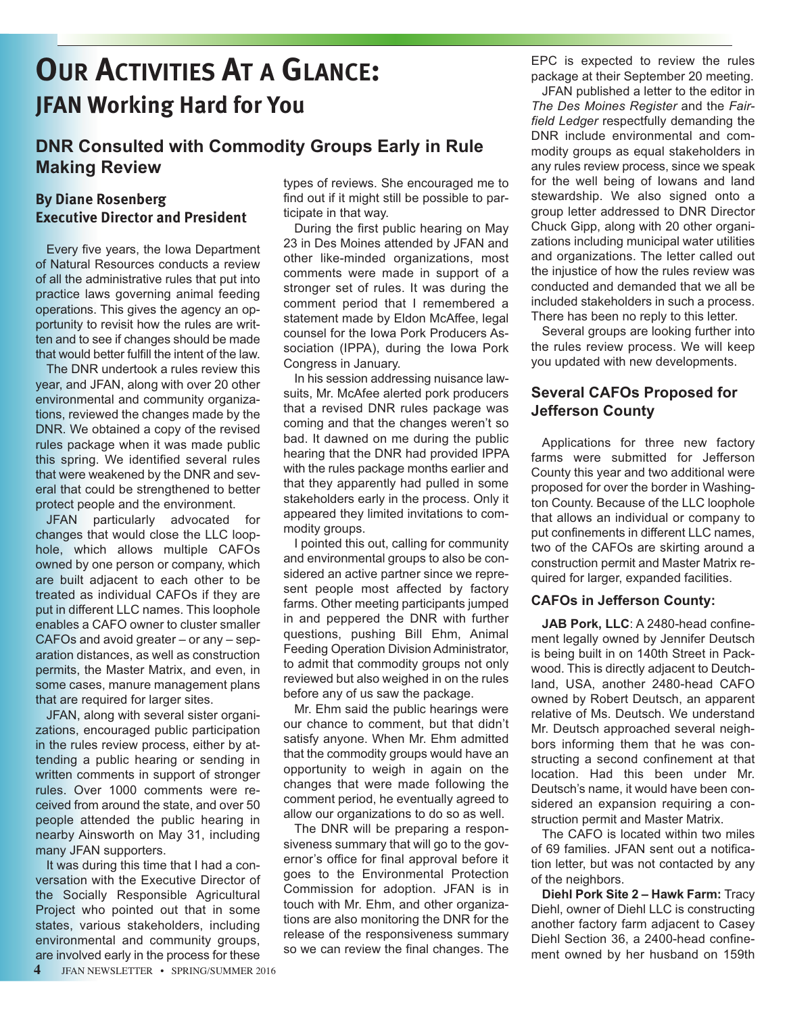# **OUR ACTIVITIES AT A GLANCE: JFAN Working Hard for You**

### **DNR Consulted with Commodity Groups Early in Rule Making Review**

#### **By Diane Rosenberg Executive Director and President**

Every five years, the Iowa Department of Natural Resources conducts a review of all the administrative rules that put into practice laws governing animal feeding operations. This gives the agency an opportunity to revisit how the rules are written and to see if changes should be made that would better fulfill the intent of the law.

The DNR undertook a rules review this year, and JFAN, along with over 20 other environmental and community organizations, reviewed the changes made by the DNR. We obtained a copy of the revised rules package when it was made public this spring. We identified several rules that were weakened by the DNR and several that could be strengthened to better protect people and the environment.

JFAN particularly advocated for changes that would close the LLC loophole, which allows multiple CAFOs owned by one person or company, which are built adjacent to each other to be treated as individual CAFOs if they are put in different LLC names. This loophole enables a CAFO owner to cluster smaller CAFOs and avoid greater – or any – separation distances, as well as construction permits, the Master Matrix, and even, in some cases, manure management plans that are required for larger sites.

JFAN, along with several sister organizations, encouraged public participation in the rules review process, either by attending a public hearing or sending in written comments in support of stronger rules. Over 1000 comments were received from around the state, and over 50 people attended the public hearing in nearby Ainsworth on May 31, including many JFAN supporters.

It was during this time that I had a conversation with the Executive Director of the Socially Responsible Agricultural Project who pointed out that in some states, various stakeholders, including environmental and community groups, are involved early in the process for these

types of reviews. She encouraged me to find out if it might still be possible to participate in that way.

During the first public hearing on May 23 in Des Moines attended by JFAN and other like-minded organizations, most comments were made in support of a stronger set of rules. It was during the comment period that I remembered a statement made by Eldon McAffee, legal counsel for the Iowa Pork Producers Association (IPPA), during the Iowa Pork Congress in January.

In his session addressing nuisance lawsuits, Mr. McAfee alerted pork producers that a revised DNR rules package was coming and that the changes weren't so bad. It dawned on me during the public hearing that the DNR had provided IPPA with the rules package months earlier and that they apparently had pulled in some stakeholders early in the process. Only it appeared they limited invitations to commodity groups.

I pointed this out, calling for community and environmental groups to also be considered an active partner since we represent people most affected by factory farms. Other meeting participants jumped in and peppered the DNR with further questions, pushing Bill Ehm, Animal Feeding Operation Division Administrator, to admit that commodity groups not only reviewed but also weighed in on the rules before any of us saw the package.

Mr. Ehm said the public hearings were our chance to comment, but that didn't satisfy anyone. When Mr. Ehm admitted that the commodity groups would have an opportunity to weigh in again on the changes that were made following the comment period, he eventually agreed to allow our organizations to do so as well.

The DNR will be preparing a responsiveness summary that will go to the governor's office for final approval before it goes to the Environmental Protection Commission for adoption. JFAN is in touch with Mr. Ehm, and other organizations are also monitoring the DNR for the release of the responsiveness summary so we can review the final changes. The

EPC is expected to review the rules package at their September 20 meeting.

JFAN published a letter to the editor in *The Des Moines Register* and the *Fairfield Ledger* respectfully demanding the DNR include environmental and commodity groups as equal stakeholders in any rules review process, since we speak for the well being of Iowans and land stewardship. We also signed onto a group letter addressed to DNR Director Chuck Gipp, along with 20 other organizations including municipal water utilities and organizations. The letter called out the injustice of how the rules review was conducted and demanded that we all be included stakeholders in such a process. There has been no reply to this letter.

Several groups are looking further into the rules review process. We will keep you updated with new developments.

#### **Several CAFOs Proposed for Jefferson County**

Applications for three new factory farms were submitted for Jefferson County this year and two additional were proposed for over the border in Washington County. Because of the LLC loophole that allows an individual or company to put confinements in different LLC names, two of the CAFOs are skirting around a construction permit and Master Matrix required for larger, expanded facilities.

#### **CAFOs in Jefferson County:**

**JAB Pork, LLC**: A 2480-head confinement legally owned by Jennifer Deutsch is being built in on 140th Street in Packwood. This is directly adjacent to Deutchland, USA, another 2480-head CAFO owned by Robert Deutsch, an apparent relative of Ms. Deutsch. We understand Mr. Deutsch approached several neighbors informing them that he was constructing a second confinement at that location. Had this been under Mr. Deutsch's name, it would have been considered an expansion requiring a construction permit and Master Matrix.

The CAFO is located within two miles of 69 families. JFAN sent out a notification letter, but was not contacted by any of the neighbors.

**Diehl Pork Site 2 – Hawk Farm:** Tracy Diehl, owner of Diehl LLC is constructing another factory farm adjacent to Casey Diehl Section 36, a 2400-head confinement owned by her husband on 159th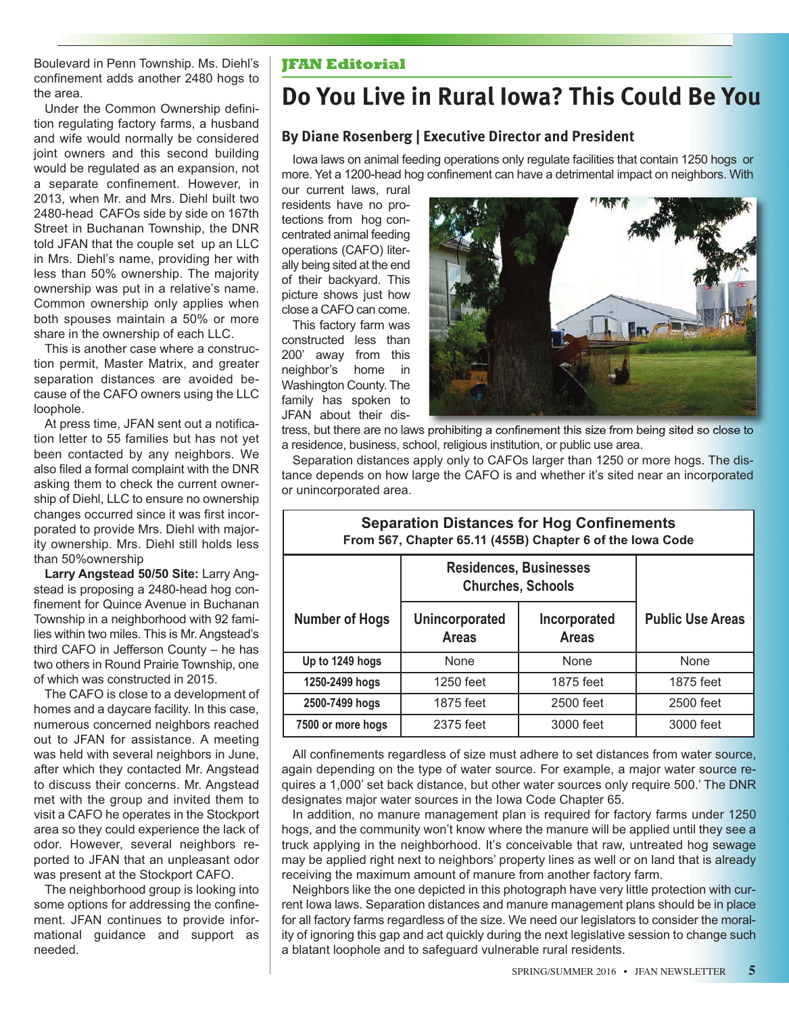Boulevard in Penn Township. Ms. Diehl's confinement adds another 2480 hogs to the area.

Under the Common Ownership definition regulating factory farms, a husband and wife would normally be considered joint owners and this second building would be regulated as an expansion, not a separate confinement. However, in 2013, when Mr. and Mrs. Diehl built two 2480-head CAFOs side by side on 167th Street in Buchanan Township, the DNR told JFAN that the couple set up an LLC in Mrs. Diehl's name, providing her with less than 50% ownership. The majority ownership was put in a relative's name. Common ownership only applies when both spouses maintain a 50% or more share in the ownership of each LLC.

This is another case where a construction permit, Master Matrix, and greater separation distances are avoided because of the CAFO owners using the LLC loophole.

At press time, JFAN sent out a notification letter to 55 families but has not yet been contacted by any neighbors. We also filed a formal complaint with the DNR asking them to check the current ownership of Diehl, LLC to ensure no ownership changes occurred since it was first incorporated to provide Mrs. Diehl with majority ownership. Mrs. Diehl still holds less than 50%ownership

**Larry Angstead 50/50 Site:** Larry Angstead is proposing a 2480-head hog confinement for Quince Avenue in Buchanan Township in a neighborhood with 92 families within two miles. This is Mr. Angstead's third CAFO in Jefferson County – he has two others in Round Prairie Township, one of which was constructed in 2015.

The CAFO is close to a development of homes and a daycare facility. In this case, numerous concerned neighbors reached out to JFAN for assistance. A meeting was held with several neighbors in June, after which they contacted Mr. Angstead to discuss their concerns. Mr. Angstead met with the group and invited them to visit a CAFO he operates in the Stockport area so they could experience the lack of odor. However, several neighbors reported to JFAN that an unpleasant odor was present at the Stockport CAFO.

The neighborhood group is looking into some options for addressing the confinement. JFAN continues to provide informational guidance and support as needed.

#### **JFAN Editorial**

### **Do You Live in Rural Iowa? This Could Be You**

#### **By Diane Rosenberg | Executive Director and President**

Iowa laws on animal feeding operations only regulate facilities that contain 1250 hogs or more. Yet a 1200-head hog confinement can have a detrimental impact on neighbors. With

our current laws, rural residents have no protections from hog concentrated animal feeding operations (CAFO) literally being sited at the end of their backyard. This picture shows just how close a CAFO can come.

This factory farm was constructed less than 200' away from this neighbor's home in Washington County. The family has spoken to JFAN about their dis-



tress, but there are no laws prohibiting a confinement this size from being sited so close to a residence, business, school, religious institution, or public use area.

Separation distances apply only to CAFOs larger than 1250 or more hogs. The distance depends on how large the CAFO is and whether it's sited near an incorporated or unincorporated area.

**Separation Distances for Hog Confinements**

| From 567, Chapter 65.11 (455B) Chapter 6 of the lowa Code |                                                           |                              |                         |  |
|-----------------------------------------------------------|-----------------------------------------------------------|------------------------------|-------------------------|--|
|                                                           | <b>Residences, Businesses</b><br><b>Churches, Schools</b> |                              |                         |  |
| <b>Number of Hogs</b>                                     | <b>Unincorporated</b><br><b>Areas</b>                     | Incorporated<br><b>Areas</b> | <b>Public Use Areas</b> |  |
| Up to 1249 hogs                                           | None                                                      | None                         | None                    |  |
| 1250-2499 hogs                                            | 1250 feet                                                 | 1875 feet                    | 1875 feet               |  |
| 2500-7499 hogs                                            | 1875 feet                                                 | 2500 feet                    | 2500 feet               |  |
| 7500 or more hogs                                         | 2375 feet                                                 | 3000 feet                    | 3000 feet               |  |

All confinements regardless of size must adhere to set distances from water source, again depending on the type of water source. For example, a major water source requires a 1,000' set back distance, but other water sources only require 500.' The DNR designates major water sources in the Iowa Code Chapter 65.

In addition, no manure management plan is required for factory farms under 1250 hogs, and the community won't know where the manure will be applied until they see a truck applying in the neighborhood. It's conceivable that raw, untreated hog sewage may be applied right next to neighbors' property lines as well or on land that is already receiving the maximum amount of manure from another factory farm.

Neighbors like the one depicted in this photograph have very little protection with current Iowa laws. Separation distances and manure management plans should be in place for all factory farms regardless of the size. We need our legislators to consider the morality of ignoring this gap and act quickly during the next legislative session to change such a blatant loophole and to safeguard vulnerable rural residents.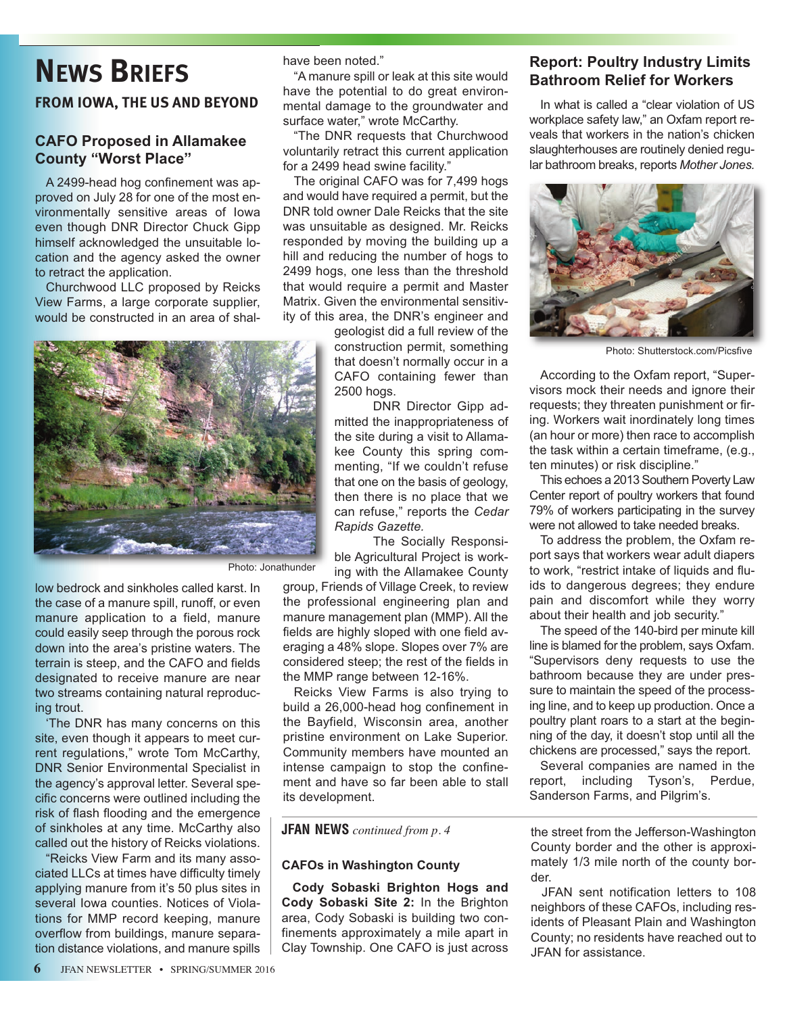# **NEWS BRIEFS**

#### **FROM IOWA, THE US AND BEYOND**

#### **CAFO Proposed in Allamakee County "Worst Place"**

A 2499-head hog confinement was approved on July 28 for one of the most environmentally sensitive areas of Iowa even though DNR Director Chuck Gipp himself acknowledged the unsuitable location and the agency asked the owner to retract the application.

Churchwood LLC proposed by Reicks View Farms, a large corporate supplier, would be constructed in an area of shalhave been noted."

"A manure spill or leak at this site would have the potential to do great environmental damage to the groundwater and surface water," wrote McCarthy.

"The DNR requests that Churchwood voluntarily retract this current application for a 2499 head swine facility."

The original CAFO was for 7,499 hogs and would have required a permit, but the DNR told owner Dale Reicks that the site was unsuitable as designed. Mr. Reicks responded by moving the building up a hill and reducing the number of hogs to 2499 hogs, one less than the threshold that would require a permit and Master Matrix. Given the environmental sensitivity of this area, the DNR's engineer and

geologist did a full review of the construction permit, something that doesn't normally occur in a CAFO containing fewer than 2500 hogs.

DNR Director Gipp admitted the inappropriateness of the site during a visit to Allamakee County this spring commenting, "If we couldn't refuse that one on the basis of geology, then there is no place that we can refuse," reports the *Cedar Rapids Gazette.*

The Socially Responsible Agricultural Project is working with the Allamakee County

group, Friends of Village Creek, to review the professional engineering plan and manure management plan (MMP). All the fields are highly sloped with one field averaging a 48% slope. Slopes over 7% are considered steep; the rest of the fields in the MMP range between 12-16%.

Reicks View Farms is also trying to build a 26,000-head hog confinement in the Bayfield, Wisconsin area, another pristine environment on Lake Superior. Community members have mounted an intense campaign to stop the confinement and have so far been able to stall its development.

#### **JFAN NEWS** *continued from p. 4*

#### **CAFOs in Washington County**

**Cody Sobaski Brighton Hogs and Cody Sobaski Site 2:** In the Brighton area, Cody Sobaski is building two confinements approximately a mile apart in Clay Township. One CAFO is just across

#### **Report: Poultry Industry Limits Bathroom Relief for Workers**

In what is called a "clear violation of US workplace safety law," an Oxfam report reveals that workers in the nation's chicken slaughterhouses are routinely denied regular bathroom breaks, reports *Mother Jones.*



Photo: Shutterstock.com/Picsfive

According to the Oxfam report, "Supervisors mock their needs and ignore their requests; they threaten punishment or firing. Workers wait inordinately long times (an hour or more) then race to accomplish the task within a certain timeframe, (e.g., ten minutes) or risk discipline."

This echoes a 2013 Southern Poverty Law Center report of poultry workers that found 79% of workers participating in the survey were not allowed to take needed breaks.

To address the problem, the Oxfam report says that workers wear adult diapers to work, "restrict intake of liquids and fluids to dangerous degrees; they endure pain and discomfort while they worry about their health and job security."

The speed of the 140-bird per minute kill line is blamed for the problem, says Oxfam. "Supervisors deny requests to use the bathroom because they are under pressure to maintain the speed of the processing line, and to keep up production. Once a poultry plant roars to a start at the beginning of the day, it doesn't stop until all the chickens are processed," says the report.

Several companies are named in the report, including Tyson's, Perdue, Sanderson Farms, and Pilgrim's.

the street from the Jefferson-Washington County border and the other is approximately 1/3 mile north of the county border.

JFAN sent notification letters to 108 neighbors of these CAFOs, including residents of Pleasant Plain and Washington County; no residents have reached out to JFAN for assistance.



Photo: Jonathunder

low bedrock and sinkholes called karst. In the case of a manure spill, runoff, or even manure application to a field, manure could easily seep through the porous rock down into the area's pristine waters. The terrain is steep, and the CAFO and fields designated to receive manure are near two streams containing natural reproducing trout.

'The DNR has many concerns on this site, even though it appears to meet current regulations," wrote Tom McCarthy, DNR Senior Environmental Specialist in the agency's approval letter. Several specific concerns were outlined including the risk of flash flooding and the emergence of sinkholes at any time. McCarthy also called out the history of Reicks violations.

"Reicks View Farm and its many associated LLCs at times have difficulty timely applying manure from it's 50 plus sites in several Iowa counties. Notices of Violations for MMP record keeping, manure overflow from buildings, manure separation distance violations, and manure spills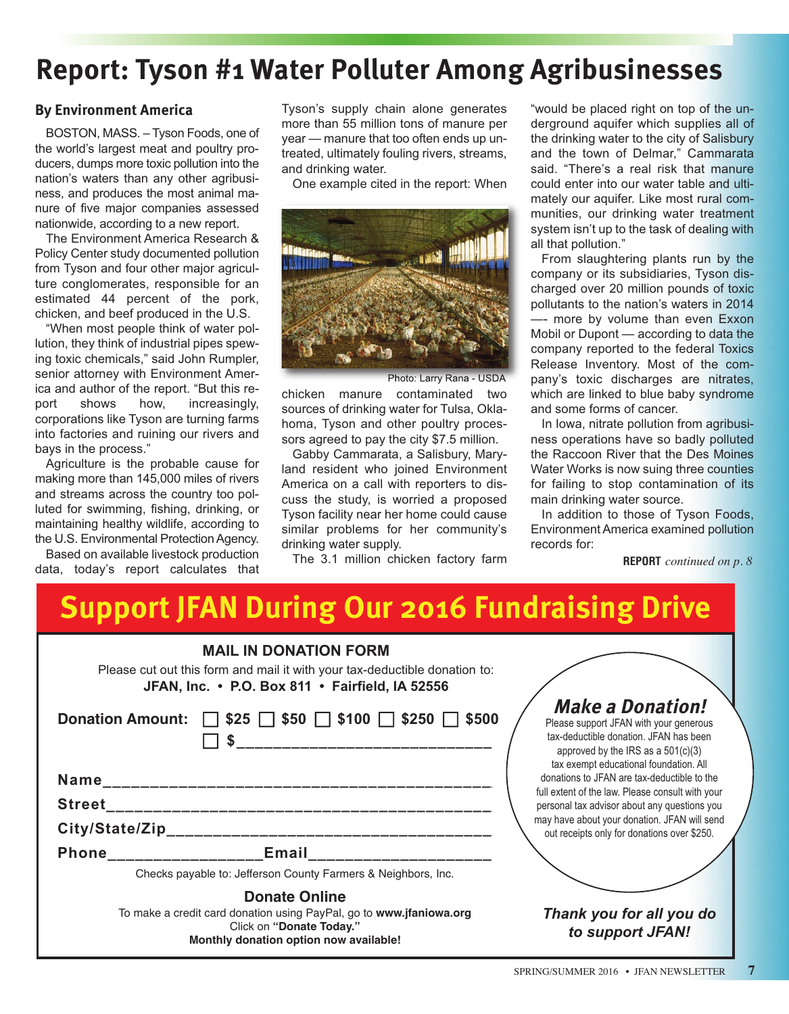# **Report: Tyson #1 Water Polluter Among Agribusinesses**

#### **By Environment America**

BOSTON, MASS. – Tyson Foods, one of the world's largest meat and poultry producers, dumps more toxic pollution into the nation's waters than any other agribusiness, and produces the most animal manure of five major companies assessed nationwide, according to a new report.

The Environment America Research & Policy Center study documented pollution from Tyson and four other major agriculture conglomerates, responsible for an estimated 44 percent of the pork, chicken, and beef produced in the U.S.

"When most people think of water pollution, they think of industrial pipes spewing toxic chemicals," said John Rumpler, senior attorney with Environment America and author of the report. "But this report shows how, increasingly, corporations like Tyson are turning farms into factories and ruining our rivers and bays in the process."

Agriculture is the probable cause for making more than 145,000 miles of rivers and streams across the country too polluted for swimming, fishing, drinking, or maintaining healthy wildlife, according to the U.S. Environmental Protection Agency.

Based on available livestock production data, today's report calculates that Tyson's supply chain alone generates more than 55 million tons of manure per year — manure that too often ends up untreated, ultimately fouling rivers, streams, and drinking water.

One example cited in the report: When



Photo: Larry Rana - USDA

chicken manure contaminated two sources of drinking water for Tulsa, Oklahoma, Tyson and other poultry processors agreed to pay the city \$7.5 million.

Gabby Cammarata, a Salisbury, Maryland resident who joined Environment America on a call with reporters to discuss the study, is worried a proposed Tyson facility near her home could cause similar problems for her community's drinking water supply.

The 3.1 million chicken factory farm

"would be placed right on top of the underground aquifer which supplies all of the drinking water to the city of Salisbury and the town of Delmar," Cammarata said. "There's a real risk that manure could enter into our water table and ultimately our aquifer. Like most rural communities, our drinking water treatment system isn't up to the task of dealing with all that pollution."

From slaughtering plants run by the company or its subsidiaries, Tyson discharged over 20 million pounds of toxic pollutants to the nation's waters in 2014 more by volume than even Exxon Mobil or Dupont — according to data the company reported to the federal Toxics Release Inventory. Most of the company's toxic discharges are nitrates, which are linked to blue baby syndrome and some forms of cancer.

In Iowa, nitrate pollution from agribusiness operations have so badly polluted the Raccoon River that the Des Moines Water Works is now suing three counties for failing to stop contamination of its main drinking water source.

In addition to those of Tyson Foods, Environment America examined pollution records for:

**REPORT** *continued on p. 8*

# **Support JFAN During Our 2016 Fundraising Drive**

| <b>MAIL IN DONATION FORM</b><br>Please cut out this form and mail it with your tax-deductible donation to:<br>JFAN, Inc. • P.O. Box 811 • Fairfield, IA 52556     |                                                                                                                                                                                               |  |
|-------------------------------------------------------------------------------------------------------------------------------------------------------------------|-----------------------------------------------------------------------------------------------------------------------------------------------------------------------------------------------|--|
| Donation Amount: 325 350 5100 5250 5500                                                                                                                           | <b>Make a Donation!</b><br>Please support JFAN with your generous<br>tax-deductible donation. JFAN has been<br>approved by the IRS as a $501(c)(3)$<br>tax exempt educational foundation. All |  |
| Name                                                                                                                                                              | donations to JFAN are tax-deductible to the                                                                                                                                                   |  |
| <b>Street</b>                                                                                                                                                     | full extent of the law. Please consult with your<br>personal tax advisor about any questions you                                                                                              |  |
|                                                                                                                                                                   | may have about your donation. JFAN will send<br>out receipts only for donations over \$250.                                                                                                   |  |
| Phone Email                                                                                                                                                       |                                                                                                                                                                                               |  |
| Checks payable to: Jefferson County Farmers & Neighbors, Inc.                                                                                                     |                                                                                                                                                                                               |  |
| <b>Donate Online</b><br>To make a credit card donation using PayPal, go to www.jfaniowa.org<br>Click on "Donate Today."<br>Monthly donation option now available! | Thank you for all you do<br>to support JFAN!                                                                                                                                                  |  |

SPRING/SUMMER 2016 • JFAN NEWSLETTER **7**